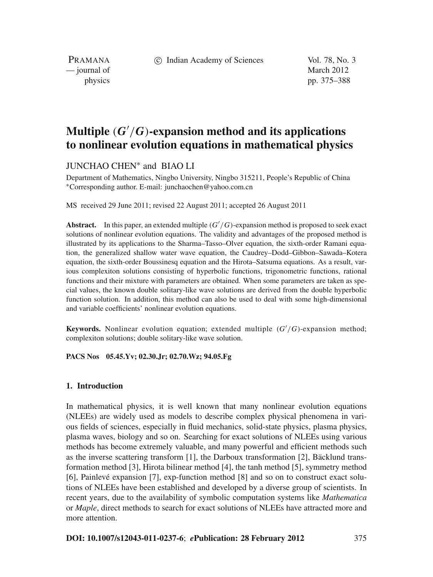c Indian Academy of Sciences Vol. 78, No. 3

PRAMANA — journal of March 2012

physics pp. 375–388

# **Multiple** (*G* /*G*)**-expansion method and its applications to nonlinear evolution equations in mathematical physics**

# JUNCHAO CHEN<sup>∗</sup> and BIAO LI

Department of Mathematics, Ningbo University, Ningbo 315211, People's Republic of China <sup>∗</sup>Corresponding author. E-mail: junchaochen@yahoo.com.cn

MS received 29 June 2011; revised 22 August 2011; accepted 26 August 2011

**Abstract.** In this paper, an extended multiple (*G* /*G*)-expansion method is proposed to seek exact solutions of nonlinear evolution equations. The validity and advantages of the proposed method is illustrated by its applications to the Sharma–Tasso–Olver equation, the sixth-order Ramani equation, the generalized shallow water wave equation, the Caudrey–Dodd–Gibbon–Sawada–Kotera equation, the sixth-order Boussinesq equation and the Hirota–Satsuma equations. As a result, various complexiton solutions consisting of hyperbolic functions, trigonometric functions, rational functions and their mixture with parameters are obtained. When some parameters are taken as special values, the known double solitary-like wave solutions are derived from the double hyperbolic function solution. In addition, this method can also be used to deal with some high-dimensional and variable coefficients' nonlinear evolution equations.

**Keywords.** Nonlinear evolution equation; extended multiple (*G* /*G*)-expansion method; complexiton solutions; double solitary-like wave solution.

### **PACS Nos 05.45.Yv; 02.30.Jr; 02.70.Wz; 94.05.Fg**

### **1. Introduction**

In mathematical physics, it is well known that many nonlinear evolution equations (NLEEs) are widely used as models to describe complex physical phenomena in various fields of sciences, especially in fluid mechanics, solid-state physics, plasma physics, plasma waves, biology and so on. Searching for exact solutions of NLEEs using various methods has become extremely valuable, and many powerful and efficient methods such as the inverse scattering transform [1], the Darboux transformation [2], Bäcklund transformation method [3], Hirota bilinear method [4], the tanh method [5], symmetry method [6], Painlevé expansion [7], exp-function method [8] and so on to construct exact solutions of NLEEs have been established and developed by a diverse group of scientists. In recent years, due to the availability of symbolic computation systems like *Mathematica* or *Maple*, direct methods to search for exact solutions of NLEEs have attracted more and more attention.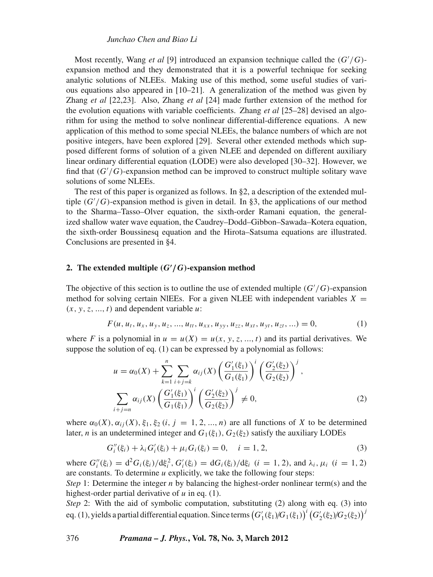### *Junchao Chen and Biao Li*

Most recently, Wang *et al* [9] introduced an expansion technique called the (*G* /*G*) expansion method and they demonstrated that it is a powerful technique for seeking analytic solutions of NLEEs. Making use of this method, some useful studies of various equations also appeared in  $[10–21]$ . A generalization of the method was given by Zhang *et al* [22,23]. Also, Zhang *et al* [24] made further extension of the method for the evolution equations with variable coefficients. Zhang *et al* [25–28] devised an algorithm for using the method to solve nonlinear differential-difference equations. A new application of this method to some special NLEEs, the balance numbers of which are not positive integers, have been explored [29]. Several other extended methods which supposed different forms of solution of a given NLEE and depended on different auxiliary linear ordinary differential equation (LODE) were also developed [30–32]. However, we find that (*G* /*G*)-expansion method can be improved to construct multiple solitary wave solutions of some NLEEs.

The rest of this paper is organized as follows. In §2, a description of the extended multiple (*G* /*G*)-expansion method is given in detail. In §3, the applications of our method to the Sharma–Tasso–Olver equation, the sixth-order Ramani equation, the generalized shallow water wave equation, the Caudrey–Dodd–Gibbon–Sawada–Kotera equation, the sixth-order Boussinesq equation and the Hirota–Satsuma equations are illustrated. Conclusions are presented in §4.

## **2.** The extended multiple  $(G'/G)$ -expansion method

The objective of this section is to outline the use of extended multiple (*G* /*G*)-expansion method for solving certain NIEEs. For a given NLEE with independent variables  $X =$  $(x, y, z, \ldots, t)$  and dependent variable  $u$ :

$$
F(u, u_t, u_x, u_y, u_z, ..., u_{tt}, u_{xx}, u_{yy}, u_{zz}, u_{xt}, u_{yt}, u_{zt}, ...)=0,
$$
\n(1)

where *F* is a polynomial in  $u = u(X) = u(x, y, z, \dots, t)$  and its partial derivatives. We suppose the solution of eq. (1) can be expressed by a polynomial as follows:

$$
u = \alpha_0(X) + \sum_{k=1}^n \sum_{i+j=k} \alpha_{ij}(X) \left(\frac{G'_1(\xi_1)}{G_1(\xi_1)}\right)^i \left(\frac{G'_2(\xi_2)}{G_2(\xi_2)}\right)^j,
$$
  

$$
\sum_{i+j=n} \alpha_{ij}(X) \left(\frac{G'_1(\xi_1)}{G_1(\xi_1)}\right)^i \left(\frac{G'_2(\xi_2)}{G_2(\xi_2)}\right)^j \neq 0,
$$
 (2)

where  $\alpha_0(X)$ ,  $\alpha_{ij}(X)$ ,  $\xi_1$ ,  $\xi_2$  (*i*, *j* = 1, 2, ..., *n*) are all functions of *X* to be determined later, *n* is an undetermined integer and  $G_1(\xi_1)$ ,  $G_2(\xi_2)$  satisfy the auxiliary LODEs

$$
G_i''(\xi_i) + \lambda_i G_i'(\xi_i) + \mu_i G_i(\xi_i) = 0, \quad i = 1, 2,
$$
\n(3)

where  $G''_i(\xi_i) = d^2 G_i(\xi_i)/d\xi_i^2$ ,  $G'_i(\xi_i) = dG_i(\xi_i)/d\xi_i$  (*i* = 1, 2), and  $\lambda_i$ ,  $\mu_i$  (*i* = 1, 2) are constants. To determine *u* explicitly, we take the following four steps:

*Step* 1: Determine the integer *n* by balancing the highest-order nonlinear term(s) and the highest-order partial derivative of *u* in eq. (1).

*Step* 2: With the aid of symbolic computation, substituting (2) along with eq. (3) into eq. (1), yields a partial differential equation. Since terms  $\left(G'_1(\xi_1)/\!G_1(\xi_1)\right)^i\left(G'_2(\xi_2)/\!G_2(\xi_2)\right)^j$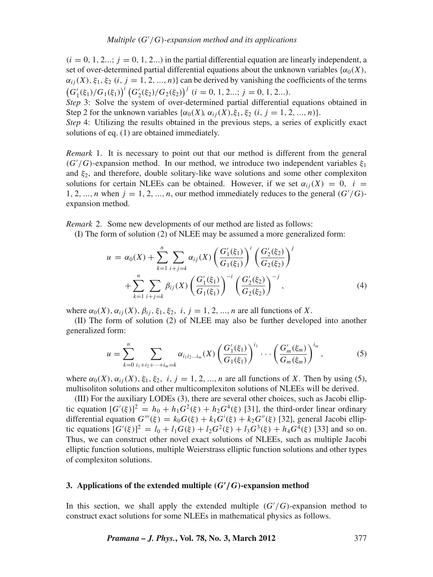$(i = 0, 1, 2...; i = 0, 1, 2...)$  in the partial differential equation are linearly independent, a set of over-determined partial differential equations about the unknown variables  $\{\alpha_0(X),\}$  $\alpha_{ij}(X)$ ,  $\xi_1$ ,  $\xi_2$  (*i*, *j* = 1, 2, ..., *n*)} can be derived by vanishing the coefficients of the terms  $(G'_{1}(\xi_{1})/G_{1}(\xi_{1}))^{i}$   $(G'_{2}(\xi_{2})/G_{2}(\xi_{2}))^{j}$   $(i = 0, 1, 2...; j = 0, 1, 2...).$ 

*Step* 3: Solve the system of over-determined partial differential equations obtained in Step 2 for the unknown variables  $\{\alpha_0(X), \alpha_{ij}(X), \xi_1, \xi_2 \ (i, j = 1, 2, ..., n)\}.$ 

*Step* 4: Utilizing the results obtained in the previous steps, a series of explicitly exact solutions of eq. (1) are obtained immediately.

*Remark* 1. It is necessary to point out that our method is different from the general  $(G'/G)$ -expansion method. In our method, we introduce two independent variables  $\xi_1$ and  $\xi_2$ , and therefore, double solitary-like wave solutions and some other complexiton solutions for certain NLEEs can be obtained. However, if we set  $\alpha_{ii}(X) = 0$ ,  $i =$ 1, 2, ..., *n* when  $j = 1, 2, ..., n$ , our method immediately reduces to the general  $(G'/G)$ expansion method.

*Remark* 2. Some new developments of our method are listed as follows:

(I) The form of solution (2) of NLEE may be assumed a more generalized form:

$$
u = \alpha_0(X) + \sum_{k=1}^n \sum_{i+j=k} \alpha_{ij}(X) \left(\frac{G'_1(\xi_1)}{G_1(\xi_1)}\right)^i \left(\frac{G'_2(\xi_2)}{G_2(\xi_2)}\right)^j
$$
  
+ 
$$
\sum_{k=1}^n \sum_{i+j=k} \beta_{ij}(X) \left(\frac{G'_1(\xi_1)}{G_1(\xi_1)}\right)^{-i} \left(\frac{G'_2(\xi_2)}{G_2(\xi_2)}\right)^{-j},
$$
(4)

where  $\alpha_0(X)$ ,  $\alpha_{ij}(X)$ ,  $\beta_{ij}$ ,  $\xi_1$ ,  $\xi_2$ , *i*,  $j = 1, 2, ..., n$  are all functions of *X*.

(II) The form of solution (2) of NLEE may also be further developed into another generalized form:

$$
u = \sum_{k=0}^{n} \sum_{i_1+i_2+\cdots+i_m=k} \alpha_{i_1i_2\ldots i_m}(X) \left(\frac{G'_1(\xi_1)}{G_1(\xi_1)}\right)^{i_1} \cdots \left(\frac{G'_m(\xi_m)}{G_m(\xi_m)}\right)^{i_m},
$$
(5)

where  $\alpha_0(X)$ ,  $\alpha_{ij}(X)$ ,  $\xi_1$ ,  $\xi_2$ , *i*,  $j = 1, 2, ..., n$  are all functions of *X*. Then by using (5), multisoliton solutions and other multicomplexiton solutions of NLEEs will be derived.

(III) For the auxiliary LODEs (3), there are several other choices, such as Jacobi elliptic equation  $[G'(\xi)]^2 = h_0 + h_1 G^2(\xi) + h_2 G^4(\xi)$  [31], the third-order linear ordinary differential equation  $G'''(\xi) = k_0 G(\xi) + k_1 G'(\xi) + k_2 G''(\xi)$  [32], general Jacobi elliptic equations  $[G'(\xi)]^2 = l_0 + l_1 G(\xi) + l_2 G^2(\xi) + l_3 G^3(\xi) + h_4 G^4(\xi)$  [33] and so on. Thus, we can construct other novel exact solutions of NLEEs, such as multiple Jacobi elliptic function solutions, multiple Weierstrass elliptic function solutions and other types of complexiton solutions.

## **3. Applications of the extended multiple** *(G***-** */G)***-expansion method**

In this section, we shall apply the extended multiple  $(G'/G)$ -expansion method to construct exact solutions for some NLEEs in mathematical physics as follows.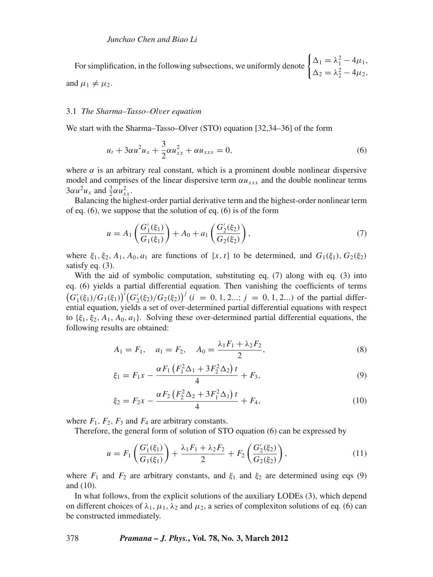For simplification, in the following subsections, we uniformly denote  $\begin{cases} \Delta_1 = \lambda_1^2 - 4\mu_1, \\ \lambda_2 = \lambda_2^2 - 4\mu_2. \end{cases}$  $\Delta_2 = \lambda_2^2 - 4\mu_2,$ and  $\mu_1 \neq \mu_2$ .

#### 3.1 *The Sharma–Tasso–Ol*v*er equation*

We start with the Sharma–Tasso–Olver (STO) equation [32,34–36] of the form

$$
u_t + 3\alpha u^2 u_x + \frac{3}{2}\alpha u_{xx}^2 + \alpha u_{xxx} = 0, \tag{6}
$$

where  $\alpha$  is an arbitrary real constant, which is a prominent double nonlinear dispersive model and comprises of the linear dispersive term  $\alpha u_{xxx}$  and the double nonlinear terms  $3\alpha u^2 u_x$  and  $\frac{3}{2}\alpha u_{xx}^2$ .

Balancing the highest-order partial derivative term and the highest-order nonlinear term of eq. (6), we suppose that the solution of eq. (6) is of the form

$$
u = A_1 \left( \frac{G_1'(\xi_1)}{G_1(\xi_1)} \right) + A_0 + a_1 \left( \frac{G_2'(\xi_2)}{G_2(\xi_2)} \right),\tag{7}
$$

where  $\xi_1, \xi_2, A_1, A_0, a_1$  are functions of  $\{x, t\}$  to be determined, and  $G_1(\xi_1), G_2(\xi_2)$ satisfy eq.  $(3)$ .

With the aid of symbolic computation, substituting eq. (7) along with eq. (3) into eq. (6) yields a partial differential equation. Then vanishing the coefficients of terms  $(G'_{1}(\xi_{1})/G_{1}(\xi_{1}))^{i}(G'_{2}(\xi_{2})/G_{2}(\xi_{2}))^{j}$  (*i* = 0, 1, 2...; *j* = 0, 1, 2...) of the partial differential equation, yields a set of over-determined partial differential equations with respect to  $\{\xi_1, \xi_2, A_1, A_0, a_1\}$ . Solving these over-determined partial differential equations, the following results are obtained:

$$
A_1 = F_1, \quad a_1 = F_2, \quad A_0 = \frac{\lambda_1 F_1 + \lambda_2 F_2}{2}, \tag{8}
$$

$$
\xi_1 = F_1 x - \frac{\alpha F_1 \left( F_1^2 \Delta_1 + 3F_2^2 \Delta_2 \right) t}{4} + F_3, \tag{9}
$$

$$
\xi_2 = F_2 x - \frac{\alpha F_2 \left( F_2^2 \Delta_2 + 3F_1^2 \Delta_1 \right) t}{4} + F_4,\tag{10}
$$

where  $F_1$ ,  $F_2$ ,  $F_3$  and  $F_4$  are arbitrary constants.

Therefore, the general form of solution of STO equation (6) can be expressed by

$$
u = F_1 \left( \frac{G_1'(\xi_1)}{G_1(\xi_1)} \right) + \frac{\lambda_1 F_1 + \lambda_2 F_2}{2} + F_2 \left( \frac{G_2'(\xi_2)}{G_2(\xi_2)} \right),\tag{11}
$$

where  $F_1$  and  $F_2$  are arbitrary constants, and  $\xi_1$  and  $\xi_2$  are determined using eqs (9) and (10).

In what follows, from the explicit solutions of the auxiliary LODEs (3), which depend on different choices of  $\lambda_1, \mu_1, \lambda_2$  and  $\mu_2$ , a series of complexiton solutions of eq. (6) can be constructed immediately.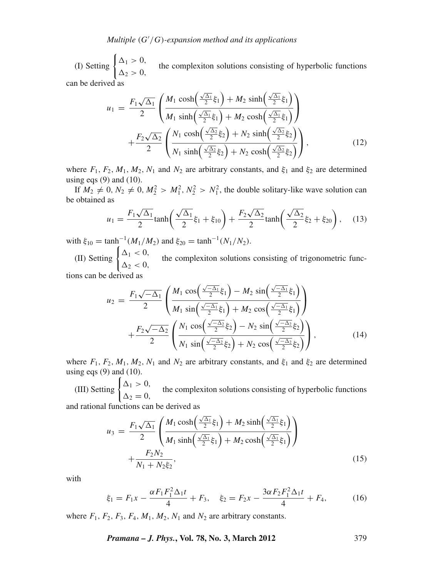(I) Setting  $\begin{cases} \Delta_1 > 0, \\ \Delta_2 > 0, \end{cases}$  the complexiton solutions consisting of hyperbolic functions can be derived as

$$
u_1 = \frac{F_1\sqrt{\Delta_1}}{2} \left( \frac{M_1 \cosh\left(\frac{\sqrt{\Delta_1}}{2}\xi_1\right) + M_2 \sinh\left(\frac{\sqrt{\Delta_1}}{2}\xi_1\right)}{M_1 \sinh\left(\frac{\sqrt{\Delta_1}}{2}\xi_1\right) + M_2 \cosh\left(\frac{\sqrt{\Delta_1}}{2}\xi_1\right)} \right) + \frac{F_2\sqrt{\Delta_2}}{2} \left( \frac{N_1 \cosh\left(\frac{\sqrt{\Delta_2}}{2}\xi_2\right) + N_2 \sinh\left(\frac{\sqrt{\Delta_2}}{2}\xi_2\right)}{N_1 \sinh\left(\frac{\sqrt{\Delta_2}}{2}\xi_2\right) + N_2 \cosh\left(\frac{\sqrt{\Delta_2}}{2}\xi_2\right)} \right),
$$
\n(12)

where  $F_1$ ,  $F_2$ ,  $M_1$ ,  $M_2$ ,  $N_1$  and  $N_2$  are arbitrary constants, and  $\xi_1$  and  $\xi_2$  are determined using eqs  $(9)$  and  $(10)$ .

If  $M_2 \neq 0$ ,  $N_2 \neq 0$ ,  $M_2^2 > M_1^2$ ,  $N_2^2 > N_1^2$ , the double solitary-like wave solution can be obtained as

$$
u_1 = \frac{F_1\sqrt{\Delta_1}}{2}\tanh\left(\frac{\sqrt{\Delta_1}}{2}\xi_1 + \xi_{10}\right) + \frac{F_2\sqrt{\Delta_2}}{2}\tanh\left(\frac{\sqrt{\Delta_2}}{2}\xi_2 + \xi_{20}\right),\tag{13}
$$

with  $\xi_{10} = \tanh^{-1}(M_1/M_2)$  and  $\xi_{20} = \tanh^{-1}(N_1/N_2)$ .

(II) Setting  $\begin{cases} \Delta_1 < 0, \\ \Delta_2 < 0, \end{cases}$  the complexiton solutions consisting of trigonometric func-

tions can be derived as

$$
u_2 = \frac{F_1\sqrt{-\Delta_1}}{2} \left( \frac{M_1 \cos\left(\frac{\sqrt{-\Delta_1}}{2}\xi_1\right) - M_2 \sin\left(\frac{\sqrt{-\Delta_1}}{2}\xi_1\right)}{M_1 \sin\left(\frac{\sqrt{-\Delta_1}}{2}\xi_1\right) + M_2 \cos\left(\frac{\sqrt{-\Delta_1}}{2}\xi_1\right)} \right) + \frac{F_2\sqrt{-\Delta_2}}{2} \left( \frac{N_1 \cos\left(\frac{\sqrt{-\Delta_2}}{2}\xi_2\right) - N_2 \sin\left(\frac{\sqrt{-\Delta_2}}{2}\xi_2\right)}{N_1 \sin\left(\frac{\sqrt{-\Delta_2}}{2}\xi_2\right) + N_2 \cos\left(\frac{\sqrt{-\Delta_2}}{2}\xi_2\right)} \right), \tag{14}
$$

where  $F_1$ ,  $F_2$ ,  $M_1$ ,  $M_2$ ,  $N_1$  and  $N_2$  are arbitrary constants, and  $\xi_1$  and  $\xi_2$  are determined using eqs  $(9)$  and  $(10)$ .

(III) Setting  $\begin{cases} \Delta_1 > 0, \\ \Delta_2 = 0, \end{cases}$  the complexiton solutions consisting of hyperbolic functions and rational functions can be derived as

$$
u_3 = \frac{F_1\sqrt{\Delta_1}}{2} \left( \frac{M_1 \cosh\left(\frac{\sqrt{\Delta_1}}{2}\xi_1\right) + M_2 \sinh\left(\frac{\sqrt{\Delta_1}}{2}\xi_1\right)}{M_1 \sinh\left(\frac{\sqrt{\Delta_1}}{2}\xi_1\right) + M_2 \cosh\left(\frac{\sqrt{\Delta_1}}{2}\xi_1\right)} \right) + \frac{F_2 N_2}{N_1 + N_2 \xi_2},
$$
\n(15)

with

$$
\xi_1 = F_1 x - \frac{\alpha F_1 F_1^2 \Delta_1 t}{4} + F_3, \quad \xi_2 = F_2 x - \frac{3\alpha F_2 F_1^2 \Delta_1 t}{4} + F_4,\tag{16}
$$

where  $F_1$ ,  $F_2$ ,  $F_3$ ,  $F_4$ ,  $M_1$ ,  $M_2$ ,  $N_1$  and  $N_2$  are arbitrary constants.

*Pramana – J. Phys.***, Vol. 78, No. 3, March 2012** 379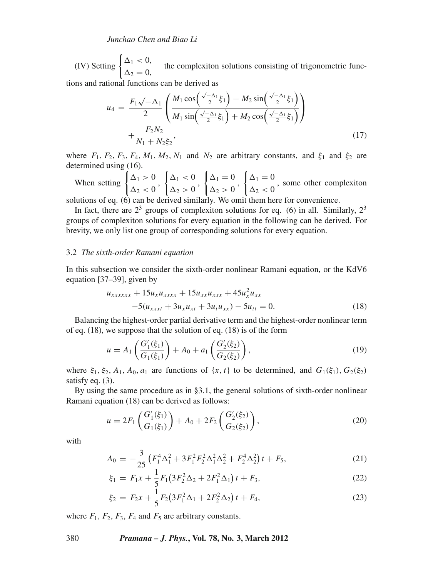(IV) Setting  $\begin{cases} \Delta_1 < 0, \\ \Delta_2 = 0, \end{cases}$  the complexiton solutions consisting of trigonometric func-

tions and rational functions can be derived as

$$
u_4 = \frac{F_1\sqrt{-\Delta_1}}{2} \left( \frac{M_1 \cos\left(\frac{\sqrt{-\Delta_1}}{2}\xi_1\right) - M_2 \sin\left(\frac{\sqrt{-\Delta_1}}{2}\xi_1\right)}{M_1 \sin\left(\frac{\sqrt{-\Delta_1}}{2}\xi_1\right) + M_2 \cos\left(\frac{\sqrt{-\Delta_1}}{2}\xi_1\right)} \right) + \frac{F_2 N_2}{N_1 + N_2 \xi_2},
$$
\n(17)

where  $F_1$ ,  $F_2$ ,  $F_3$ ,  $F_4$ ,  $M_1$ ,  $M_2$ ,  $N_1$  and  $N_2$  are arbitrary constants, and  $\xi_1$  and  $\xi_2$  are determined using (16).

When setting  $\begin{cases} \Delta_1 > 0 \\ \Delta_2 < 0 \end{cases}$ ,  $\begin{cases} \Delta_1 < 0 \\ \Delta_2 > 0 \end{cases},$  $\begin{cases} \Delta_1 = 0 \\ \Delta_2 > 0 \end{cases}$  $\begin{cases} \Delta_1 = 0 \\ \Delta_2 < 0 \end{cases}$ , some other complexiton

solutions of eq. (6) can be derived similarly. We omit them here for convenience.

In fact, there are  $2<sup>3</sup>$  groups of complexiton solutions for eq. (6) in all. Similarly,  $2<sup>3</sup>$ groups of complexiton solutions for every equation in the following can be derived. For brevity, we only list one group of corresponding solutions for every equation.

### 3.2 *The sixth-order Ramani equation*

In this subsection we consider the sixth-order nonlinear Ramani equation, or the KdV6 equation [37–39], given by

$$
u_{xxxxxx} + 15u_x u_{xxxxx} + 15u_{xx} u_{xxx} + 45u_x^2 u_{xx}
$$
  
-5(u\_{xxxt} + 3u\_x u\_{xt} + 3u\_t u\_{xx}) - 5u\_{tt} = 0. (18)

Balancing the highest-order partial derivative term and the highest-order nonlinear term of eq. (18), we suppose that the solution of eq. (18) is of the form

$$
u = A_1 \left( \frac{G_1'(\xi_1)}{G_1(\xi_1)} \right) + A_0 + a_1 \left( \frac{G_2'(\xi_2)}{G_2(\xi_2)} \right),\tag{19}
$$

where  $\xi_1, \xi_2, A_1, A_0, a_1$  are functions of  $\{x, t\}$  to be determined, and  $G_1(\xi_1), G_2(\xi_2)$ satisfy eq.  $(3)$ .

By using the same procedure as in §3.1, the general solutions of sixth-order nonlinear Ramani equation (18) can be derived as follows:

$$
u = 2F_1 \left( \frac{G_1'(\xi_1)}{G_1(\xi_1)} \right) + A_0 + 2F_2 \left( \frac{G_2'(\xi_2)}{G_2(\xi_2)} \right),\tag{20}
$$

with

$$
A_0 = -\frac{3}{25} \left( F_1^4 \Delta_1^2 + 3F_1^2 F_2^2 \Delta_1^2 \Delta_2^2 + F_2^4 \Delta_2^2 \right) t + F_5, \tag{21}
$$

$$
\xi_1 = F_1 x + \frac{1}{5} F_1 \big( 3F_2^2 \Delta_2 + 2F_1^2 \Delta_1 \big) t + F_3,\tag{22}
$$

$$
\xi_2 = F_2 x + \frac{1}{5} F_2 (3F_1^2 \Delta_1 + 2F_2^2 \Delta_2) t + F_4,
$$
\n(23)

where  $F_1$ ,  $F_2$ ,  $F_3$ ,  $F_4$  and  $F_5$  are arbitrary constants.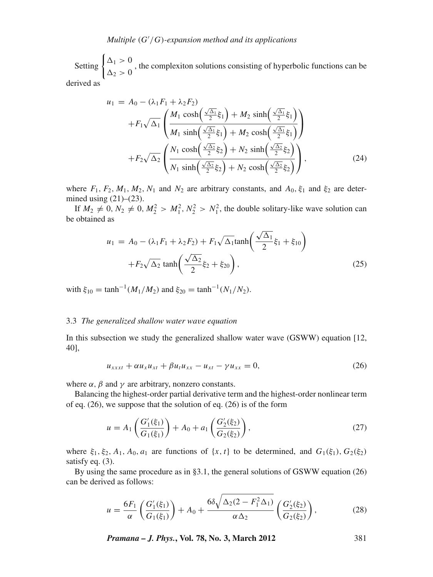## *Multiple* (*G* /*G*)*-expansion method and its applications*

Setting  $\begin{cases} \Delta_1 > 0 \\ \Delta_2 > 0 \end{cases}$ , the complexiton solutions consisting of hyperbolic functions can be derived as

$$
u_1 = A_0 - (\lambda_1 F_1 + \lambda_2 F_2)
$$
  
+  $F_1 \sqrt{\Delta_1} \left( \frac{M_1 \cosh\left(\frac{\sqrt{\Delta_1}}{2} \xi_1\right) + M_2 \sinh\left(\frac{\sqrt{\Delta_1}}{2} \xi_1\right)}{M_1 \sinh\left(\frac{\sqrt{\Delta_1}}{2} \xi_1\right) + M_2 \cosh\left(\frac{\sqrt{\Delta_1}}{2} \xi_1\right)} \right)$   
+  $F_2 \sqrt{\Delta_2} \left( \frac{N_1 \cosh\left(\frac{\sqrt{\Delta_2}}{2} \xi_2\right) + N_2 \sinh\left(\frac{\sqrt{\Delta_2}}{2} \xi_2\right)}{N_1 \sinh\left(\frac{\sqrt{\Delta_2}}{2} \xi_2\right) + N_2 \cosh\left(\frac{\sqrt{\Delta_2}}{2} \xi_2\right)} \right),$  (24)

where  $F_1$ ,  $F_2$ ,  $M_1$ ,  $M_2$ ,  $N_1$  and  $N_2$  are arbitrary constants, and  $A_0$ ,  $\xi_1$  and  $\xi_2$  are determined using  $(21)$ – $(23)$ .

If  $M_2 \neq 0$ ,  $N_2 \neq 0$ ,  $M_2^2 > M_1^2$ ,  $N_2^2 > N_1^2$ , the double solitary-like wave solution can be obtained as

$$
u_1 = A_0 - (\lambda_1 F_1 + \lambda_2 F_2) + F_1 \sqrt{\Delta_1} \tanh\left(\frac{\sqrt{\Delta_1}}{2} \xi_1 + \xi_{10}\right) + F_2 \sqrt{\Delta_2} \tanh\left(\frac{\sqrt{\Delta_2}}{2} \xi_2 + \xi_{20}\right),
$$
 (25)

with  $\xi_{10} = \tanh^{-1}(M_1/M_2)$  and  $\xi_{20} = \tanh^{-1}(N_1/N_2)$ .

#### 3.3 *The generalized shallow water wa*v*e equation*

In this subsection we study the generalized shallow water wave (GSWW) equation [12, 40],

$$
u_{xxxt} + \alpha u_x u_{xt} + \beta u_t u_{xx} - u_{xt} - \gamma u_{xx} = 0, \tag{26}
$$

where  $\alpha$ ,  $\beta$  and  $\gamma$  are arbitrary, nonzero constants.

Balancing the highest-order partial derivative term and the highest-order nonlinear term of eq. (26), we suppose that the solution of eq. (26) is of the form

$$
u = A_1 \left( \frac{G_1'(\xi_1)}{G_1(\xi_1)} \right) + A_0 + a_1 \left( \frac{G_2'(\xi_2)}{G_2(\xi_2)} \right),\tag{27}
$$

where  $\xi_1, \xi_2, A_1, A_0, a_1$  are functions of  $\{x, t\}$  to be determined, and  $G_1(\xi_1), G_2(\xi_2)$ satisfy eq. (3).

By using the same procedure as in §3.1, the general solutions of GSWW equation (26) can be derived as follows:

$$
u = \frac{6F_1}{\alpha} \left( \frac{G_1'(\xi_1)}{G_1(\xi_1)} \right) + A_0 + \frac{6\delta \sqrt{\Delta_2 (2 - F_1^2 \Delta_1)}}{\alpha \Delta_2} \left( \frac{G_2'(\xi_2)}{G_2(\xi_2)} \right),
$$
(28)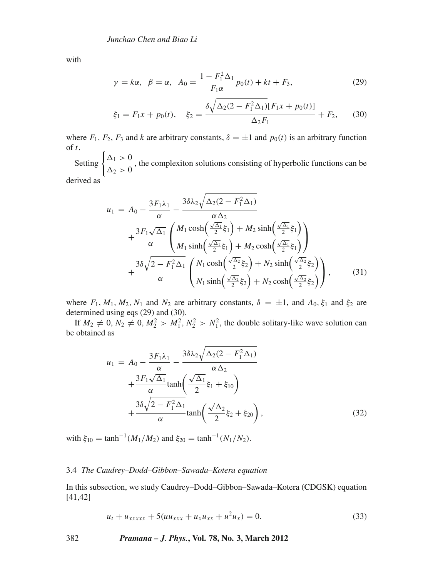with

$$
\gamma = k\alpha, \ \beta = \alpha, \ \ A_0 = \frac{1 - F_1^2 \Delta_1}{F_1 \alpha} p_0(t) + kt + F_3,
$$
\n(29)

$$
\xi_1 = F_1 x + p_0(t), \quad \xi_2 = \frac{\delta \sqrt{\Delta_2 (2 - F_1^2 \Delta_1) [F_1 x + p_0(t)]}}{\Delta_2 F_1} + F_2,
$$
\n(30)

where  $F_1$ ,  $F_2$ ,  $F_3$  and *k* are arbitrary constants,  $\delta = \pm 1$  and  $p_0(t)$  is an arbitrary function of *t*.

Setting  $\begin{cases} \Delta_1 > 0 \\ \Delta_2 > 0 \end{cases}$ , the complexiton solutions consisting of hyperbolic functions can be derived as

$$
u_1 = A_0 - \frac{3F_1\lambda_1}{\alpha} - \frac{3\delta\lambda_2\sqrt{\Delta_2(2 - F_1^2\Delta_1)}}{\alpha\Delta_2} + \frac{3F_1\sqrt{\Delta_1}}{\alpha} \left(\frac{M_1\cosh\left(\frac{\sqrt{\Delta_1}}{2}\xi_1\right) + M_2\sinh\left(\frac{\sqrt{\Delta_1}}{2}\xi_1\right)}{M_1\sinh\left(\frac{\sqrt{\Delta_1}}{2}\xi_1\right) + M_2\cosh\left(\frac{\sqrt{\Delta_1}}{2}\xi_1\right)}\right) + \frac{3\delta\sqrt{2 - F_1^2\Delta_1}}{\alpha} \left(\frac{N_1\cosh\left(\frac{\sqrt{\Delta_2}}{2}\xi_2\right) + N_2\sinh\left(\frac{\sqrt{\Delta_2}}{2}\xi_2\right)}{N_1\sinh\left(\frac{\sqrt{\Delta_2}}{2}\xi_2\right) + N_2\cosh\left(\frac{\sqrt{\Delta_2}}{2}\xi_2\right)}\right),
$$
\n(31)

where  $F_1$ ,  $M_1$ ,  $M_2$ ,  $N_1$  and  $N_2$  are arbitrary constants,  $\delta = \pm 1$ , and  $A_0$ ,  $\xi_1$  and  $\xi_2$  are determined using eqs (29) and (30).

If  $M_2 \neq 0$ ,  $N_2 \neq 0$ ,  $M_2^2 > M_1^2$ ,  $N_2^2 > N_1^2$ , the double solitary-like wave solution can be obtained as

$$
u_1 = A_0 - \frac{3F_1\lambda_1}{\alpha} - \frac{3\delta\lambda_2\sqrt{\Delta_2(2 - F_1^2\Delta_1)}}{\alpha\Delta_2} + \frac{3F_1\sqrt{\Delta_1}}{\alpha}\tanh\left(\frac{\sqrt{\Delta_1}}{2}\xi_1 + \xi_{10}\right) + \frac{3\delta\sqrt{2 - F_1^2\Delta_1}}{\alpha}\tanh\left(\frac{\sqrt{\Delta_2}}{2}\xi_2 + \xi_{20}\right),
$$
\n(32)

with  $\xi_{10} = \tanh^{-1}(M_1/M_2)$  and  $\xi_{20} = \tanh^{-1}(N_1/N_2)$ .

### 3.4 *The Caudrey–Dodd–Gibbon–Sawada–Kotera equation*

In this subsection, we study Caudrey–Dodd–Gibbon–Sawada–Kotera (CDGSK) equation [41,42]

$$
u_t + u_{xxxxx} + 5(uu_{xxx} + u_x u_{xx} + u^2 u_x) = 0.
$$
 (33)

382 *Pramana – J. Phys.***, Vol. 78, No. 3, March 2012**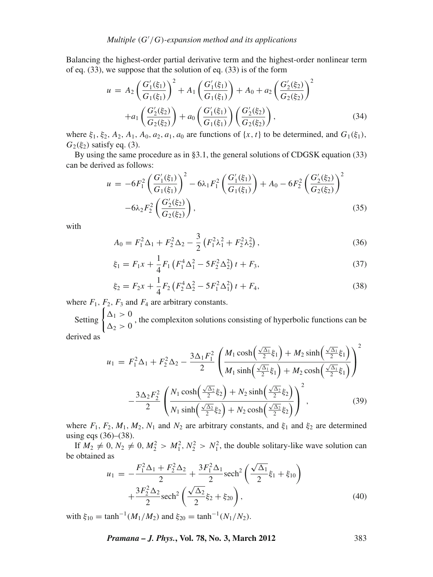Balancing the highest-order partial derivative term and the highest-order nonlinear term of eq. (33), we suppose that the solution of eq. (33) is of the form

$$
u = A_2 \left(\frac{G_1'(\xi_1)}{G_1(\xi_1)}\right)^2 + A_1 \left(\frac{G_1'(\xi_1)}{G_1(\xi_1)}\right) + A_0 + a_2 \left(\frac{G_2'(\xi_2)}{G_2(\xi_2)}\right)^2
$$
  
+a\_1 \left(\frac{G\_2'(\xi\_2)}{G\_2(\xi\_2)}\right) + a\_0 \left(\frac{G\_1'(\xi\_1)}{G\_1(\xi\_1)}\right) \left(\frac{G\_2'(\xi\_2)}{G\_2(\xi\_2)}\right), (34)

where  $\xi_1, \xi_2, A_2, A_1, A_0, a_2, a_1, a_0$  are functions of  $\{x, t\}$  to be determined, and  $G_1(\xi_1)$ ,  $G_2(\xi_2)$  satisfy eq. (3).

By using the same procedure as in §3.1, the general solutions of CDGSK equation (33) can be derived as follows:

$$
u = -6F_1^2 \left(\frac{G_1'(\xi_1)}{G_1(\xi_1)}\right)^2 - 6\lambda_1 F_1^2 \left(\frac{G_1'(\xi_1)}{G_1(\xi_1)}\right) + A_0 - 6F_2^2 \left(\frac{G_2'(\xi_2)}{G_2(\xi_2)}\right)^2 - 6\lambda_2 F_2^2 \left(\frac{G_2'(\xi_2)}{G_2(\xi_2)}\right),
$$
\n(35)

with

$$
A_0 = F_1^2 \Delta_1 + F_2^2 \Delta_2 - \frac{3}{2} \left( F_1^2 \lambda_1^2 + F_2^2 \lambda_2^2 \right), \tag{36}
$$

$$
\xi_1 = F_1 x + \frac{1}{4} F_1 \left( F_1^4 \Delta_1^2 - 5 F_2^2 \Delta_2^2 \right) t + F_3, \tag{37}
$$

$$
\xi_2 = F_2 x + \frac{1}{4} F_2 \left( F_2^4 \Delta_2^2 - 5 F_1^2 \Delta_1^2 \right) t + F_4,
$$
\n(38)

where  $F_1$ ,  $F_2$ ,  $F_3$  and  $F_4$  are arbitrary constants.

Setting  $\begin{cases} \Delta_1 > 0 \\ \Delta_2 > 0 \end{cases}$ , the complexiton solutions consisting of hyperbolic functions can be derived as

$$
u_1 = F_1^2 \Delta_1 + F_2^2 \Delta_2 - \frac{3\Delta_1 F_1^2}{2} \left( \frac{M_1 \cosh\left(\frac{\sqrt{\Delta_1}}{2} \xi_1\right) + M_2 \sinh\left(\frac{\sqrt{\Delta_1}}{2} \xi_1\right)}{M_1 \sinh\left(\frac{\sqrt{\Delta_1}}{2} \xi_1\right) + M_2 \cosh\left(\frac{\sqrt{\Delta_1}}{2} \xi_1\right)} \right)^2
$$

$$
- \frac{3\Delta_2 F_2^2}{2} \left( \frac{N_1 \cosh\left(\frac{\sqrt{\Delta_2}}{2} \xi_2\right) + N_2 \sinh\left(\frac{\sqrt{\Delta_2}}{2} \xi_2\right)}{N_1 \sinh\left(\frac{\sqrt{\Delta_2}}{2} \xi_2\right) + N_2 \cosh\left(\frac{\sqrt{\Delta_2}}{2} \xi_2\right)} \right)^2, \tag{39}
$$

where  $F_1$ ,  $F_2$ ,  $M_1$ ,  $M_2$ ,  $N_1$  and  $N_2$  are arbitrary constants, and  $\xi_1$  and  $\xi_2$  are determined using eqs (36)–(38).

If  $M_2 \neq 0$ ,  $N_2 \neq 0$ ,  $M_2^2 > M_1^2$ ,  $N_2^2 > N_1^2$ , the double solitary-like wave solution can be obtained as

$$
u_1 = -\frac{F_1^2 \Delta_1 + F_2^2 \Delta_2}{2} + \frac{3F_1^2 \Delta_1}{2} \operatorname{sech}^2\left(\frac{\sqrt{\Delta_1}}{2}\xi_1 + \xi_{10}\right) + \frac{3F_2^2 \Delta_2}{2} \operatorname{sech}^2\left(\frac{\sqrt{\Delta_2}}{2}\xi_2 + \xi_{20}\right),\tag{40}
$$

with  $\xi_{10} = \tanh^{-1}(M_1/M_2)$  and  $\xi_{20} = \tanh^{-1}(N_1/N_2)$ .

*Pramana – J. Phys.***, Vol. 78, No. 3, March 2012** 383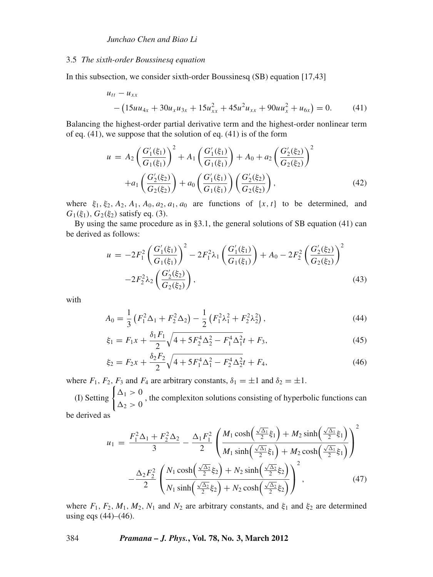#### 3.5 *The sixth-order Boussinesq equation*

In this subsection, we consider sixth-order Boussinesq (SB) equation [17,43]

$$
u_{tt} - u_{xx}
$$
  
-(15uu<sub>4x</sub> + 30u<sub>x</sub>u<sub>3x</sub> + 15u<sub>xx</sub><sup>2</sup> + 45u<sup>2</sup>u<sub>xx</sub> + 90uu<sub>x</sub><sup>2</sup> + u<sub>6x</sub>) = 0. (41)

Balancing the highest-order partial derivative term and the highest-order nonlinear term of eq. (41), we suppose that the solution of eq. (41) is of the form

$$
u = A_2 \left(\frac{G_1'(\xi_1)}{G_1(\xi_1)}\right)^2 + A_1 \left(\frac{G_1'(\xi_1)}{G_1(\xi_1)}\right) + A_0 + a_2 \left(\frac{G_2'(\xi_2)}{G_2(\xi_2)}\right)^2
$$

$$
+ a_1 \left(\frac{G_2'(\xi_2)}{G_2(\xi_2)}\right) + a_0 \left(\frac{G_1'(\xi_1)}{G_1(\xi_1)}\right) \left(\frac{G_2'(\xi_2)}{G_2(\xi_2)}\right), \tag{42}
$$

where  $\xi_1, \xi_2, A_2, A_1, A_0, a_2, a_1, a_0$  are functions of  $\{x, t\}$  to be determined, and  $G_1(\xi_1)$ ,  $G_2(\xi_2)$  satisfy eq. (3).

By using the same procedure as in §3.1, the general solutions of SB equation (41) can be derived as follows:

$$
u = -2F_1^2 \left(\frac{G_1'(\xi_1)}{G_1(\xi_1)}\right)^2 - 2F_1^2 \lambda_1 \left(\frac{G_1'(\xi_1)}{G_1(\xi_1)}\right) + A_0 - 2F_2^2 \left(\frac{G_2'(\xi_2)}{G_2(\xi_2)}\right)^2 - 2F_2^2 \lambda_2 \left(\frac{G_2'(\xi_2)}{G_2(\xi_2)}\right),
$$
\n(43)

with

$$
A_0 = \frac{1}{3} \left( F_1^2 \Delta_1 + F_2^2 \Delta_2 \right) - \frac{1}{2} \left( F_1^2 \lambda_1^2 + F_2^2 \lambda_2^2 \right), \tag{44}
$$

$$
\xi_1 = F_1 x + \frac{\delta_1 F_1}{2} \sqrt{4 + 5F_2^4 \Delta_2^2 - F_1^4 \Delta_1^2} t + F_3,\tag{45}
$$

$$
\xi_2 = F_2 x + \frac{\delta_2 F_2}{2} \sqrt{4 + 5F_1^4 \Delta_1^2 - F_2^4 \Delta_2^2} t + F_4,\tag{46}
$$

where  $F_1$ ,  $F_2$ ,  $F_3$  and  $F_4$  are arbitrary constants,  $\delta_1 = \pm 1$  and  $\delta_2 = \pm 1$ .

(I) Setting  $\begin{cases} \Delta_1 > 0 \\ \Delta_2 > 0 \end{cases}$ , the complexiton solutions consisting of hyperbolic functions can be derived as

$$
u_1 = \frac{F_1^2 \Delta_1 + F_2^2 \Delta_2}{3} - \frac{\Delta_1 F_1^2}{2} \left( \frac{M_1 \cosh\left(\frac{\sqrt{\Delta_1}}{2} \xi_1\right) + M_2 \sinh\left(\frac{\sqrt{\Delta_1}}{2} \xi_1\right)}{M_1 \sinh\left(\frac{\sqrt{\Delta_1}}{2} \xi_1\right) + M_2 \cosh\left(\frac{\sqrt{\Delta_1}}{2} \xi_1\right)} \right)^2 - \frac{\Delta_2 F_2^2}{2} \left( \frac{N_1 \cosh\left(\frac{\sqrt{\Delta_2}}{2} \xi_2\right) + N_2 \sinh\left(\frac{\sqrt{\Delta_2}}{2} \xi_2\right)}{N_1 \sinh\left(\frac{\sqrt{\Delta_2}}{2} \xi_2\right) + N_2 \cosh\left(\frac{\sqrt{\Delta_2}}{2} \xi_2\right)} \right)^2, \tag{47}
$$

where  $F_1$ ,  $F_2$ ,  $M_1$ ,  $M_2$ ,  $N_1$  and  $N_2$  are arbitrary constants, and  $\xi_1$  and  $\xi_2$  are determined using eqs  $(44)–(46)$ .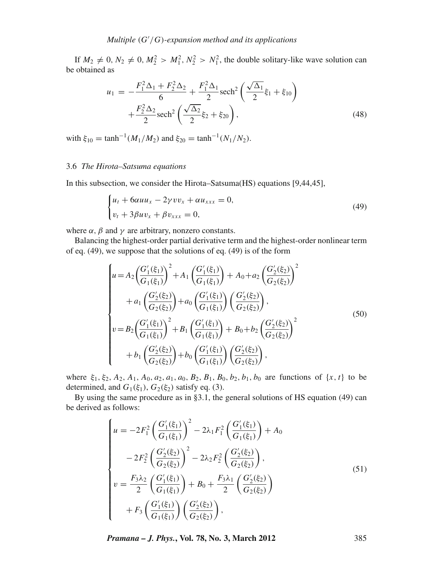If  $M_2 \neq 0$ ,  $N_2 \neq 0$ ,  $M_2^2 > M_1^2$ ,  $N_2^2 > N_1^2$ , the double solitary-like wave solution can be obtained as

$$
u_1 = -\frac{F_1^2 \Delta_1 + F_2^2 \Delta_2}{6} + \frac{F_1^2 \Delta_1}{2} \text{sech}^2 \left(\frac{\sqrt{\Delta_1}}{2} \xi_1 + \xi_{10}\right) + \frac{F_2^2 \Delta_2}{2} \text{sech}^2 \left(\frac{\sqrt{\Delta_2}}{2} \xi_2 + \xi_{20}\right),\tag{48}
$$

with  $\xi_{10} = \tanh^{-1}(M_1/M_2)$  and  $\xi_{20} = \tanh^{-1}(N_1/N_2)$ .

### 3.6 *The Hirota–Satsuma equations*

In this subsection, we consider the Hirota–Satsuma(HS) equations [9,44,45],

$$
\begin{cases} u_t + 6\alpha u u_x - 2\gamma v v_x + \alpha u_{xxx} = 0, \\ v_t + 3\beta u v_x + \beta v_{xxx} = 0, \end{cases}
$$
 (49)

where  $\alpha$ ,  $\beta$  and  $\gamma$  are arbitrary, nonzero constants.

Balancing the highest-order partial derivative term and the highest-order nonlinear term of eq. (49), we suppose that the solutions of eq. (49) is of the form

$$
\begin{cases}\nu = A_2 \left(\frac{G_1'(\xi_1)}{G_1(\xi_1)}\right)^2 + A_1 \left(\frac{G_1'(\xi_1)}{G_1(\xi_1)}\right) + A_0 + a_2 \left(\frac{G_2'(\xi_2)}{G_2(\xi_2)}\right)^2 \\
+ a_1 \left(\frac{G_2'(\xi_2)}{G_2(\xi_2)}\right) + a_0 \left(\frac{G_1'(\xi_1)}{G_1(\xi_1)}\right) \left(\frac{G_2'(\xi_2)}{G_2(\xi_2)}\right), \\
v = B_2 \left(\frac{G_1'(\xi_1)}{G_1(\xi_1)}\right)^2 + B_1 \left(\frac{G_1'(\xi_1)}{G_1(\xi_1)}\right) + B_0 + b_2 \left(\frac{G_2'(\xi_2)}{G_2(\xi_2)}\right)^2 \\
+ b_1 \left(\frac{G_2'(\xi_2)}{G_2(\xi_2)}\right) + b_0 \left(\frac{G_1'(\xi_1)}{G_1(\xi_1)}\right) \left(\frac{G_2'(\xi_2)}{G_2(\xi_2)}\right),\n\end{cases
$$
\n(50)

where  $\xi_1, \xi_2, A_2, A_1, A_0, a_2, a_1, a_0, B_2, B_1, B_0, b_2, b_1, b_0$  are functions of  $\{x, t\}$  to be determined, and  $G_1(\xi_1)$ ,  $G_2(\xi_2)$  satisfy eq. (3).

By using the same procedure as in §3.1, the general solutions of HS equation (49) can be derived as follows:

$$
\begin{cases}\nu = -2F_1^2 \left( \frac{G_1'(\xi_1)}{G_1(\xi_1)} \right)^2 - 2\lambda_1 F_1^2 \left( \frac{G_1'(\xi_1)}{G_1(\xi_1)} \right) + A_0 \\
-2F_2^2 \left( \frac{G_2'(\xi_2)}{G_2(\xi_2)} \right)^2 - 2\lambda_2 F_2^2 \left( \frac{G_2'(\xi_2)}{G_2(\xi_2)} \right), \\
v = \frac{F_3 \lambda_2}{2} \left( \frac{G_1'(\xi_1)}{G_1(\xi_1)} \right) + B_0 + \frac{F_3 \lambda_1}{2} \left( \frac{G_2'(\xi_2)}{G_2(\xi_2)} \right) \\
+ F_3 \left( \frac{G_1'(\xi_1)}{G_1(\xi_1)} \right) \left( \frac{G_2'(\xi_2)}{G_2(\xi_2)} \right),\n\end{cases} \tag{51}
$$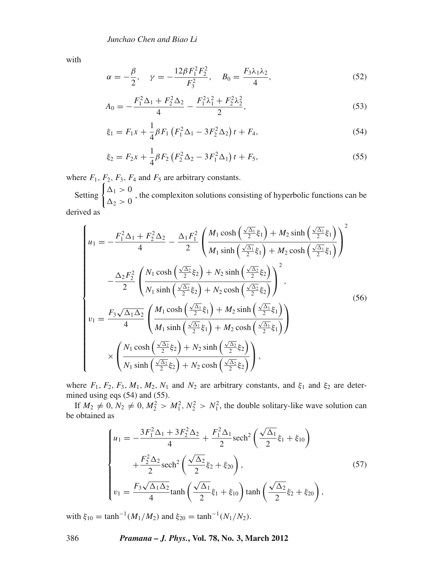with

$$
\alpha = -\frac{\beta}{2}, \quad \gamma = -\frac{12\beta F_1^2 F_2^2}{F_3^2}, \quad B_0 = \frac{F_3 \lambda_1 \lambda_2}{4}, \tag{52}
$$

$$
A_0 = -\frac{F_1^2 \Delta_1 + F_2^2 \Delta_2}{4} - \frac{F_1^2 \lambda_1^2 + F_2^2 \lambda_2^2}{2},
$$
\n<sup>(53)</sup>

$$
\xi_1 = F_1 x + \frac{1}{4} \beta F_1 \left( F_1^2 \Delta_1 - 3F_2^2 \Delta_2 \right) t + F_4, \tag{54}
$$

$$
\xi_2 = F_2 x + \frac{1}{4} \beta F_2 \left( F_2^2 \Delta_2 - 3F_1^2 \Delta_1 \right) t + F_5, \tag{55}
$$

where  $F_1$ ,  $F_2$ ,  $F_3$ ,  $F_4$  and  $F_5$  are arbitrary constants.

Setting  $\begin{cases} \Delta_1 > 0 \\ \Delta_2 > 0 \end{cases}$ , the complexiton solutions consisting of hyperbolic functions can be derived as

$$
\begin{cases}\nu_{1} = -\frac{F_{1}^{2} \Delta_{1} + F_{2}^{2} \Delta_{2}}{4} - \frac{\Delta_{1} F_{1}^{2}}{2} \left( \frac{M_{1} \cosh\left(\frac{\sqrt{\Delta_{1}}}{2}\xi_{1}\right) + M_{2} \sinh\left(\frac{\sqrt{\Delta_{1}}}{2}\xi_{1}\right)}{M_{1} \sinh\left(\frac{\sqrt{\Delta_{1}}}{2}\xi_{1}\right) + M_{2} \cosh\left(\frac{\sqrt{\Delta_{1}}}{2}\xi_{1}\right)} \right)^{2} \\
-\frac{\Delta_{2} F_{2}^{2}}{2} \left( \frac{N_{1} \cosh\left(\frac{\sqrt{\Delta_{2}}}{2}\xi_{2}\right) + N_{2} \sinh\left(\frac{\sqrt{\Delta_{2}}}{2}\xi_{2}\right)}{N_{1} \sinh\left(\frac{\sqrt{\Delta_{2}}}{2}\xi_{2}\right) + N_{2} \cosh\left(\frac{\sqrt{\Delta_{2}}}{2}\xi_{2}\right)} \right)^{2}, \\
v_{1} = \frac{F_{3} \sqrt{\Delta_{1} \Delta_{2}}}{4} \left( \frac{M_{1} \cosh\left(\frac{\sqrt{\Delta_{1}}}{2}\xi_{1}\right) + M_{2} \sinh\left(\frac{\sqrt{\Delta_{1}}}{2}\xi_{1}\right)}{M_{1} \sinh\left(\frac{\sqrt{\Delta_{1}}}{2}\xi_{1}\right) + M_{2} \cosh\left(\frac{\sqrt{\Delta_{1}}}{2}\xi_{1}\right)} \right)\n\times \left( \frac{N_{1} \cosh\left(\frac{\sqrt{\Delta_{2}}}{2}\xi_{2}\right) + N_{2} \sinh\left(\frac{\sqrt{\Delta_{2}}}{2}\xi_{2}\right)}{N_{1} \sinh\left(\frac{\sqrt{\Delta_{2}}}{2}\xi_{2}\right) + N_{2} \cosh\left(\frac{\sqrt{\Delta_{2}}}{2}\xi_{2}\right)} \right),\n\end{cases} (56)
$$

where  $F_1$ ,  $F_2$ ,  $F_3$ ,  $M_1$ ,  $M_2$ ,  $N_1$  and  $N_2$  are arbitrary constants, and  $\xi_1$  and  $\xi_2$  are determined using eqs (54) and (55).

If  $M_2 \neq 0$ ,  $N_2 \neq 0$ ,  $M_2^2 > M_1^2$ ,  $N_2^2 > N_1^2$ , the double solitary-like wave solution can be obtained as

$$
\begin{cases}\nu_1 = -\frac{3F_1^2 \Delta_1 + 3F_2^2 \Delta_2}{4} + \frac{F_1^2 \Delta_1}{2} \text{sech}^2 \left(\frac{\sqrt{\Delta_1}}{2} \xi_1 + \xi_{10}\right) \\
+ \frac{F_2^2 \Delta_2}{2} \text{sech}^2 \left(\frac{\sqrt{\Delta_2}}{2} \xi_2 + \xi_{20}\right), \\
v_1 = \frac{F_3 \sqrt{\Delta_1 \Delta_2}}{4} \tanh \left(\frac{\sqrt{\Delta_1}}{2} \xi_1 + \xi_{10}\right) \tanh \left(\frac{\sqrt{\Delta_2}}{2} \xi_2 + \xi_{20}\right),\n\end{cases} (57)
$$

with  $\xi_{10} = \tanh^{-1}(M_1/M_2)$  and  $\xi_{20} = \tanh^{-1}(N_1/N_2)$ .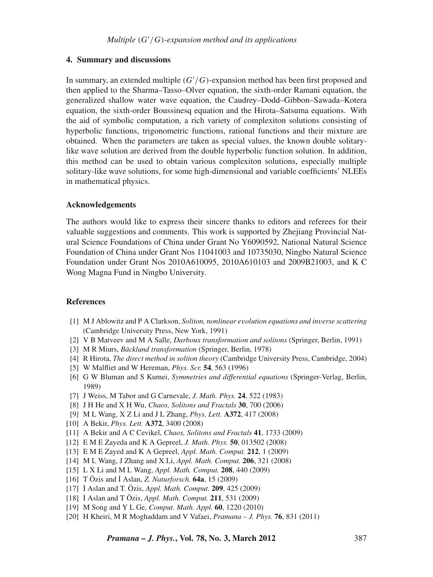### **4. Summary and discussions**

In summary, an extended multiple (*G* /*G*)-expansion method has been first proposed and then applied to the Sharma–Tasso–Olver equation, the sixth-order Ramani equation, the generalized shallow water wave equation, the Caudrey–Dodd–Gibbon–Sawada–Kotera equation, the sixth-order Boussinesq equation and the Hirota–Satsuma equations. With the aid of symbolic computation, a rich variety of complexiton solutions consisting of hyperbolic functions, trigonometric functions, rational functions and their mixture are obtained. When the parameters are taken as special values, the known double solitarylike wave solution are derived from the double hyperbolic function solution. In addition, this method can be used to obtain various complexiton solutions, especially multiple solitary-like wave solutions, for some high-dimensional and variable coefficients' NLEEs in mathematical physics.

### **Acknowledgements**

The authors would like to express their sincere thanks to editors and referees for their valuable suggestions and comments. This work is supported by Zhejiang Provincial Natural Science Foundations of China under Grant No Y6090592, National Natural Science Foundation of China under Grant Nos 11041003 and 10735030, Ningbo Natural Science Foundation under Grant Nos 2010A610095, 2010A610103 and 2009B21003, and K C Wong Magna Fund in Ningbo University.

### **References**

- [1] M J Ablowitz and P A Clarkson, *Soliton, nonlinear e*v*olution equations and in*v*erse scattering* (Cambridge University Press, New York, 1991)
- [2] V B Matveev and M A Salle, *Darboux transformation and solitons* (Springer, Berlin, 1991)
- [3] M R Miurs, *Bäcklund transformation* (Springer, Berlin, 1978)
- [4] R Hirota, *The direct method in soliton theory* (Cambridge University Press, Cambridge, 2004)
- [5] W Malfliet and W Hereman, *Phys. Scr.* **54**, 563 (1996)
- [6] G W Bluman and S Kumei, *Symmetries and differential equations* (Springer-Verlag, Berlin, 1989)
- [7] J Weiss, M Tabor and G Carnevale, *J. Math. Phys.* **24**, 522 (1983)
- [8] J H He and X H Wu, *Chaos, Solitons and Fractals* **30**, 700 (2006)
- [9] M L Wang, X Z Li and J L Zhang, *Phys. Lett.* **A372**, 417 (2008)
- [10] A Bekir, *Phys. Lett.* **A372**, 3400 (2008)
- [11] A Bekir and A C Cevikel, *Chaos, Solitons and Fractals* **41**, 1733 (2009)
- [12] E M E Zayeda and K A Gepreel, *J. Math. Phys.* **50**, 013502 (2008)
- [13] E M E Zayed and K A Gepreel, *Appl. Math. Comput.* **212**, 1 (2009)
- [14] M L Wang, J Zhang and X Li, *Appl. Math. Comput.* **206**, 321 (2008)
- [15] L X Li and M L Wang, *Appl. Math. Comput.* **208**, 440 (2009)
- [16] T Özis and ˙I Aslan, *Z. Naturforsch.* **64a**, 15 (2009)
- [17] ˙I Aslan and T. Özis, *Appl. Math. Comput.* **209**, 425 (2009)
- [18] ˙I Aslan and T Özis, *Appl. Math. Comput.* **211**, 531 (2009)
- [19] M Song and Y L Ge, *Comput. Math. Appl.* **60**, 1220 (2010)
- [20] H Kheiri, M R Moghaddam and V Vafaei, *Pramana J. Phys.* **76**, 831 (2011)